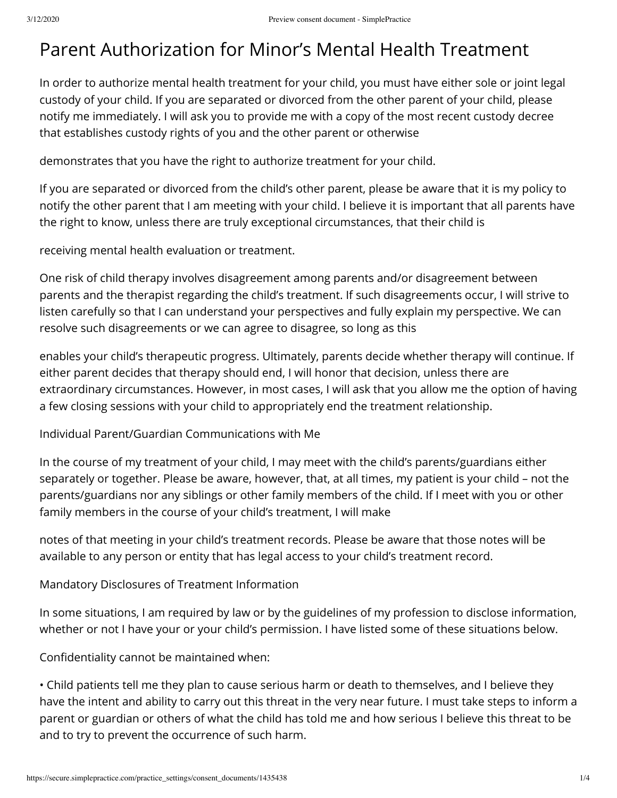## Parent Authorization for Minor's Mental Health Treatment

In order to authorize mental health treatment for your child, you must have either sole or joint legal custody of your child. If you are separated or divorced from the other parent of your child, please notify me immediately. I will ask you to provide me with a copy of the most recent custody decree that establishes custody rights of you and the other parent or otherwise

demonstrates that you have the right to authorize treatment for your child.

If you are separated or divorced from the child's other parent, please be aware that it is my policy to notify the other parent that I am meeting with your child. I believe it is important that all parents have the right to know, unless there are truly exceptional circumstances, that their child is

receiving mental health evaluation or treatment.

One risk of child therapy involves disagreement among parents and/or disagreement between parents and the therapist regarding the child's treatment. If such disagreements occur, I will strive to listen carefully so that I can understand your perspectives and fully explain my perspective. We can resolve such disagreements or we can agree to disagree, so long as this

enables your child's therapeutic progress. Ultimately, parents decide whether therapy will continue. If either parent decides that therapy should end, I will honor that decision, unless there are extraordinary circumstances. However, in most cases, I will ask that you allow me the option of having a few closing sessions with your child to appropriately end the treatment relationship.

Individual Parent/Guardian Communications with Me

In the course of my treatment of your child, I may meet with the child's parents/guardians either separately or together. Please be aware, however, that, at all times, my patient is your child – not the parents/guardians nor any siblings or other family members of the child. If I meet with you or other family members in the course of your child's treatment, I will make

notes of that meeting in your child's treatment records. Please be aware that those notes will be available to any person or entity that has legal access to your child's treatment record.

Mandatory Disclosures of Treatment Information

In some situations, I am required by law or by the guidelines of my profession to disclose information, whether or not I have your or your child's permission. I have listed some of these situations below.

Confidentiality cannot be maintained when:

• Child patients tell me they plan to cause serious harm or death to themselves, and I believe they have the intent and ability to carry out this threat in the very near future. I must take steps to inform a parent or guardian or others of what the child has told me and how serious I believe this threat to be and to try to prevent the occurrence of such harm.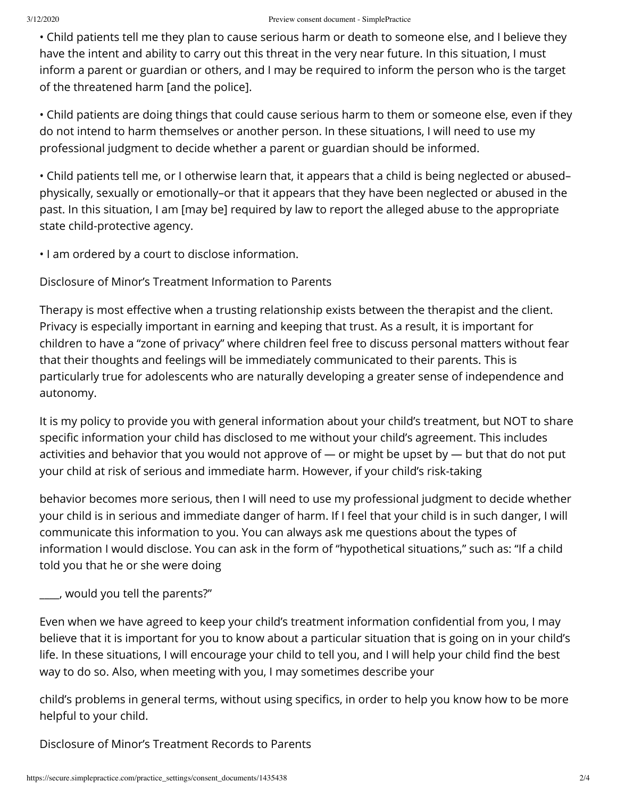• Child patients tell me they plan to cause serious harm or death to someone else, and I believe they have the intent and ability to carry out this threat in the very near future. In this situation, I must inform a parent or guardian or others, and I may be required to inform the person who is the target of the threatened harm [and the police].

• Child patients are doing things that could cause serious harm to them or someone else, even if they do not intend to harm themselves or another person. In these situations, I will need to use my professional judgment to decide whether a parent or guardian should be informed.

• Child patients tell me, or I otherwise learn that, it appears that a child is being neglected or abused– physically, sexually or emotionally–or that it appears that they have been neglected or abused in the past. In this situation, I am [may be] required by law to report the alleged abuse to the appropriate state child-protective agency.

• I am ordered by a court to disclose information.

Disclosure of Minor's Treatment Information to Parents

Therapy is most effective when a trusting relationship exists between the therapist and the client. Privacy is especially important in earning and keeping that trust. As a result, it is important for children to have a "zone of privacy" where children feel free to discuss personal matters without fear that their thoughts and feelings will be immediately communicated to their parents. This is particularly true for adolescents who are naturally developing a greater sense of independence and autonomy.

It is my policy to provide you with general information about your child's treatment, but NOT to share specific information your child has disclosed to me without your child's agreement. This includes activities and behavior that you would not approve of — or might be upset by — but that do not put your child at risk of serious and immediate harm. However, if your child's risk-taking

behavior becomes more serious, then I will need to use my professional judgment to decide whether your child is in serious and immediate danger of harm. If I feel that your child is in such danger, I will communicate this information to you. You can always ask me questions about the types of information I would disclose. You can ask in the form of "hypothetical situations," such as: "If a child told you that he or she were doing

**\_\_**\_\_, would you tell the parents?"

Even when we have agreed to keep your child's treatment information confidential from you, I may believe that it is important for you to know about a particular situation that is going on in your child's life. In these situations, I will encourage your child to tell you, and I will help your child find the best way to do so. Also, when meeting with you, I may sometimes describe your

child's problems in general terms, without using specifics, in order to help you know how to be more helpful to your child.

Disclosure of Minor's Treatment Records to Parents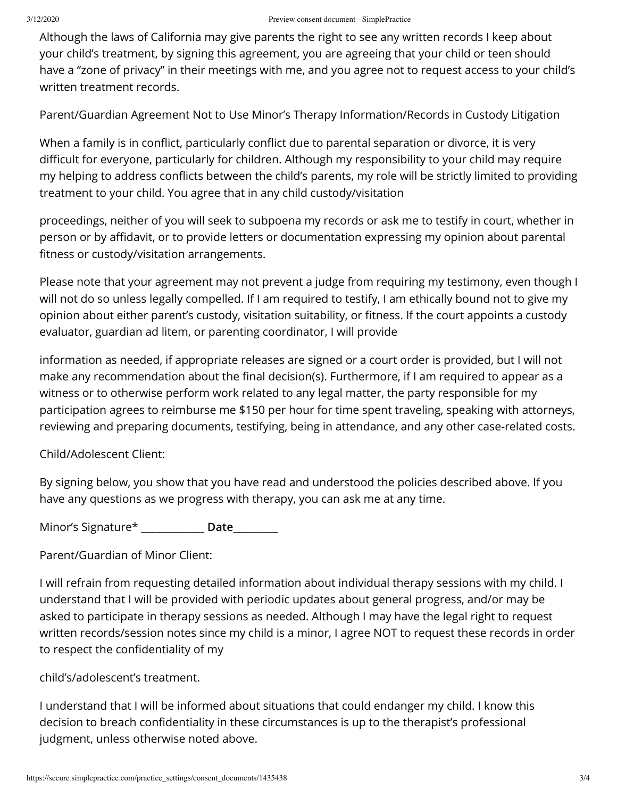Although the laws of California may give parents the right to see any written records I keep about your child's treatment, by signing this agreement, you are agreeing that your child or teen should have a "zone of privacy" in their meetings with me, and you agree not to request access to your child's written treatment records.

Parent/Guardian Agreement Not to Use Minor's Therapy Information/Records in Custody Litigation

When a family is in conflict, particularly conflict due to parental separation or divorce, it is very difficult for everyone, particularly for children. Although my responsibility to your child may require my helping to address conflicts between the child's parents, my role will be strictly limited to providing treatment to your child. You agree that in any child custody/visitation

proceedings, neither of you will seek to subpoena my records or ask me to testify in court, whether in person or by affidavit, or to provide letters or documentation expressing my opinion about parental fitness or custody/visitation arrangements.

Please note that your agreement may not prevent a judge from requiring my testimony, even though I will not do so unless legally compelled. If I am required to testify, I am ethically bound not to give my opinion about either parent's custody, visitation suitability, or fitness. If the court appoints a custody evaluator, guardian ad litem, or parenting coordinator, I will provide

information as needed, if appropriate releases are signed or a court order is provided, but I will not make any recommendation about the final decision(s). Furthermore, if I am required to appear as a witness or to otherwise perform work related to any legal matter, the party responsible for my participation agrees to reimburse me \$150 per hour for time spent traveling, speaking with attorneys, reviewing and preparing documents, testifying, being in attendance, and any other case-related costs.

Child/Adolescent Client:

By signing below, you show that you have read and understood the policies described above. If you have any questions as we progress with therapy, you can ask me at any time.

Minor's Signature\* **\_\_\_\_\_\_\_\_\_\_\_\_\_ Date\_\_\_\_**\_\_\_\_\_

Parent/Guardian of Minor Client:

I will refrain from requesting detailed information about individual therapy sessions with my child. I understand that I will be provided with periodic updates about general progress, and/or may be asked to participate in therapy sessions as needed. Although I may have the legal right to request written records/session notes since my child is a minor, I agree NOT to request these records in order to respect the confidentiality of my

child's/adolescent's treatment.

I understand that I will be informed about situations that could endanger my child. I know this decision to breach confidentiality in these circumstances is up to the therapist's professional judgment, unless otherwise noted above.